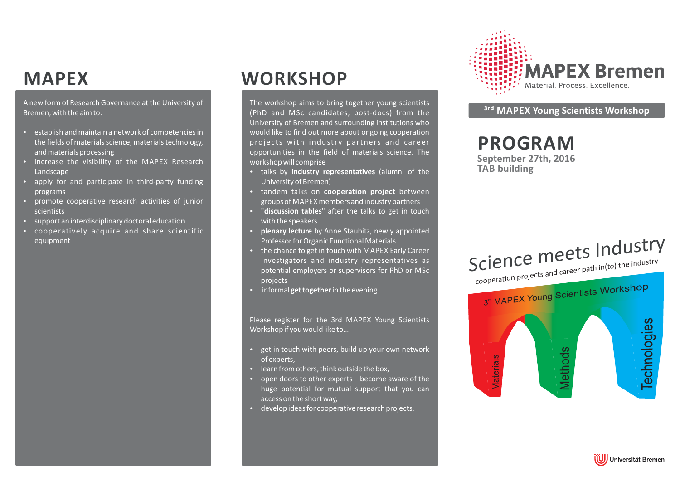# **MAPEX**

A new form of Research Governance at the University of Bremen, with the aim to:

- establish and maintain <sup>a</sup> network of competencies in the fields of materials science, materials technology, and materials processing
- increase the visibility of the MAPEX Research **Landscape**
- apply for and participate in third-party funding programs
- promote cooperative research activities of junior scientists
- support an interdisciplinary doctoral education
- cooperatively acquire and share scientific equipment

# **WORKSHOP**

The workshop aims to bring together young scientists (PhD and MSc candidates, post-docs) from the University of Bremen and surrounding institutions who would like to find out more about ongoing cooperation projects with industry partners and career opportunities in the field of materials science. The workshop will comprise

- talks by *industry representatives* (alumni of the University of Bremen)
- **•** tandem talks on **cooperation project** between groups of MAPEX members and industry partners
- **•** "discussion tables" after the talks to get in touch with the speakers
- **plenary lecture** by Anne Staubitz, newly appointed Professor for Organic Functional Materials
- the chance to get in touch with MAPEX Early Career Investigators and industry representatives as potential employers or supervisors for PhD or MSc projects
- **•** informal get together in the evening

Please register for the 3rd MAPEX Young Scientists Workshop if you would like to…

- get in touch with peers, build up your own network of experts,
- learn from others, think outside the box,
- open doors to other experts become aware of the huge potential for mutual support that you can access on the short way,
- develop ideas for cooperative research projects.



## **³-MAPEX Young Scientists Workshop**

# **PROGRAM**

**September 27th, 2016 TAB building**